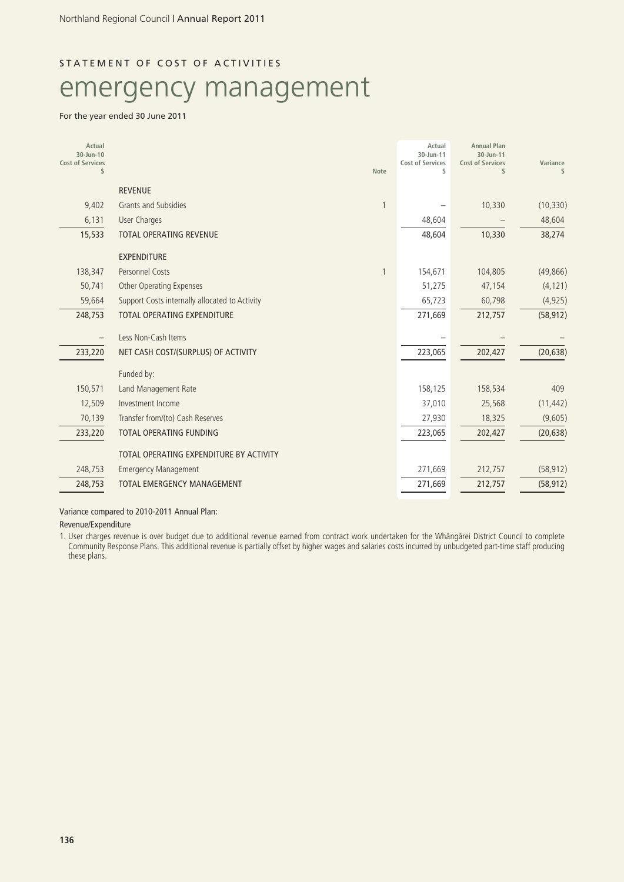## STATEMENT OF COST OF ACTIVITIES

# emergency management

#### For the year ended 30 June 2011

| Actual<br>30-Jun-10<br><b>Cost of Services</b><br>\$ |                                                | <b>Note</b> | Actual<br>30-Jun-11<br><b>Cost of Services</b><br>\$ | <b>Annual Plan</b><br>30-Jun-11<br><b>Cost of Services</b><br>\$ | Variance<br>S. |
|------------------------------------------------------|------------------------------------------------|-------------|------------------------------------------------------|------------------------------------------------------------------|----------------|
|                                                      | <b>REVENUE</b>                                 |             |                                                      |                                                                  |                |
| 9,402                                                | Grants and Subsidies                           |             |                                                      | 10,330                                                           | (10, 330)      |
| 6,131                                                | <b>User Charges</b>                            |             | 48,604                                               |                                                                  | 48,604         |
| 15,533                                               | <b>TOTAL OPERATING REVENUE</b>                 |             | 48,604                                               | 10,330                                                           | 38,274         |
|                                                      | <b>EXPENDITURE</b>                             |             |                                                      |                                                                  |                |
| 138,347                                              | <b>Personnel Costs</b>                         |             | 154,671                                              | 104,805                                                          | (49, 866)      |
| 50,741                                               | Other Operating Expenses                       |             | 51,275                                               | 47,154                                                           | (4, 121)       |
| 59,664                                               | Support Costs internally allocated to Activity |             | 65,723                                               | 60,798                                                           | (4, 925)       |
| 248,753                                              | <b>TOTAL OPERATING EXPENDITURE</b>             |             | 271,669                                              | 212,757                                                          | (58, 912)      |
|                                                      | Less Non-Cash Items                            |             |                                                      |                                                                  |                |
| 233,220                                              | NET CASH COST/(SURPLUS) OF ACTIVITY            |             | 223,065                                              | 202,427                                                          | (20, 638)      |
|                                                      | Funded by:                                     |             |                                                      |                                                                  |                |
| 150,571                                              | Land Management Rate                           |             | 158,125                                              | 158,534                                                          | 409            |
| 12,509                                               | Investment Income                              |             | 37,010                                               | 25,568                                                           | (11, 442)      |
| 70,139                                               | Transfer from/(to) Cash Reserves               |             | 27,930                                               | 18,325                                                           | (9,605)        |
| 233,220                                              | <b>TOTAL OPERATING FUNDING</b>                 |             | 223,065                                              | 202,427                                                          | (20, 638)      |
|                                                      | TOTAL OPERATING EXPENDITURE BY ACTIVITY        |             |                                                      |                                                                  |                |
| 248,753                                              | <b>Emergency Management</b>                    |             | 271,669                                              | 212,757                                                          | (58, 912)      |
| 248,753                                              | <b>TOTAL EMERGENCY MANAGEMENT</b>              |             | 271,669                                              | 212,757                                                          | (58, 912)      |
|                                                      |                                                |             |                                                      |                                                                  |                |

Variance compared to 2010-2011 Annual Plan:

Revenue/Expenditure

1. User charges revenue is over budget due to additional revenue earned from contract work undertaken for the Whängärei District Council to complete Community Response Plans. This additional revenue is partially offset by higher wages and salaries costs incurred by unbudgeted part-time staff producing these plans.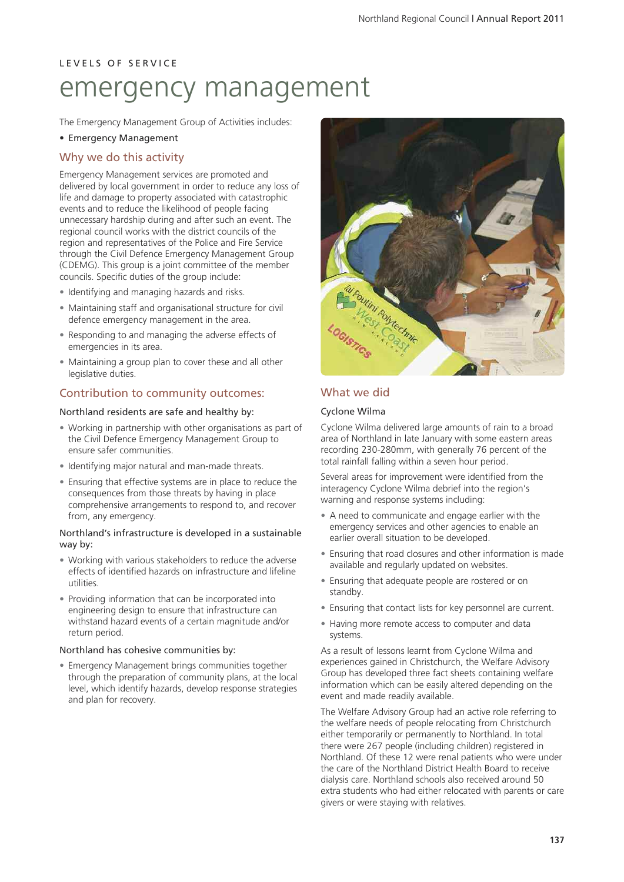## L E V E L S O F S E R V I C E emergency management

The Emergency Management Group of Activities includes:

#### • Emergency Management

#### Why we do this activity

Emergency Management services are promoted and delivered by local government in order to reduce any loss of life and damage to property associated with catastrophic events and to reduce the likelihood of people facing unnecessary hardship during and after such an event. The regional council works with the district councils of the region and representatives of the Police and Fire Service through the Civil Defence Emergency Management Group (CDEMG). This group is a joint committee of the member councils. Specific duties of the group include:

- Identifying and managing hazards and risks.
- Maintaining staff and organisational structure for civil defence emergency management in the area.
- Responding to and managing the adverse effects of emergencies in its area.
- Maintaining a group plan to cover these and all other legislative duties.

#### Contribution to community outcomes:

#### Northland residents are safe and healthy by:

- Working in partnership with other organisations as part of the Civil Defence Emergency Management Group to ensure safer communities.
- Identifying major natural and man-made threats.
- Ensuring that effective systems are in place to reduce the consequences from those threats by having in place comprehensive arrangements to respond to, and recover from, any emergency.

#### Northland's infrastructure is developed in a sustainable way by:

- Working with various stakeholders to reduce the adverse effects of identified hazards on infrastructure and lifeline utilities.
- Providing information that can be incorporated into engineering design to ensure that infrastructure can withstand hazard events of a certain magnitude and/or return period.

#### Northland has cohesive communities by:

• Emergency Management brings communities together through the preparation of community plans, at the local level, which identify hazards, develop response strategies and plan for recovery.



#### What we did

#### Cyclone Wilma

Cyclone Wilma delivered large amounts of rain to a broad area of Northland in late January with some eastern areas recording 230-280mm, with generally 76 percent of the total rainfall falling within a seven hour period.

Several areas for improvement were identified from the interagency Cyclone Wilma debrief into the region's warning and response systems including:

- A need to communicate and engage earlier with the emergency services and other agencies to enable an earlier overall situation to be developed.
- Ensuring that road closures and other information is made available and regularly updated on websites.
- Ensuring that adequate people are rostered or on standby.
- Ensuring that contact lists for key personnel are current.
- Having more remote access to computer and data systems.

As a result of lessons learnt from Cyclone Wilma and experiences gained in Christchurch, the Welfare Advisory Group has developed three fact sheets containing welfare information which can be easily altered depending on the event and made readily available.

The Welfare Advisory Group had an active role referring to the welfare needs of people relocating from Christchurch either temporarily or permanently to Northland. In total there were 267 people (including children) registered in Northland. Of these 12 were renal patients who were under the care of the Northland District Health Board to receive dialysis care. Northland schools also received around 50 extra students who had either relocated with parents or care givers or were staying with relatives.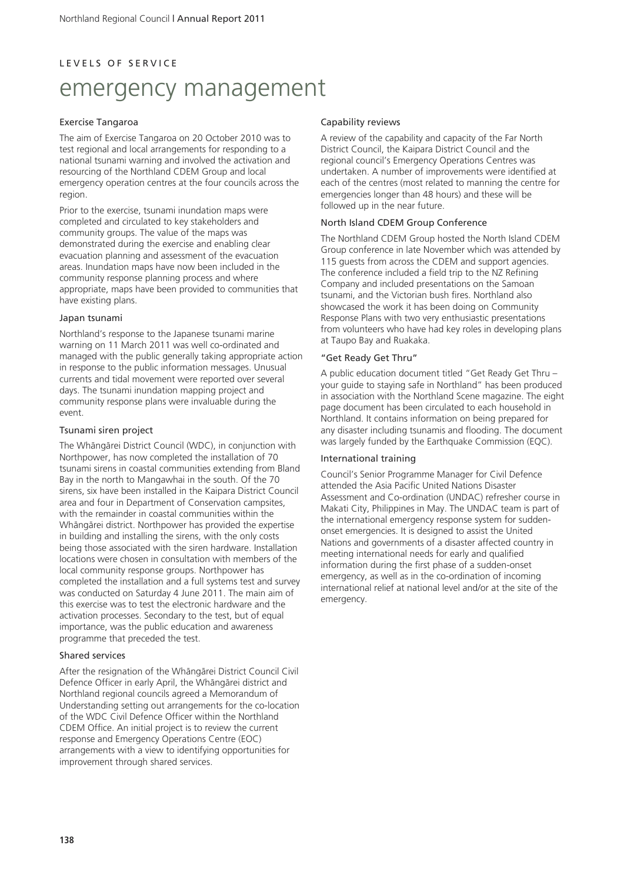#### L E V E L S O F S E R V I C E

# emergency management

#### Exercise Tangaroa

The aim of Exercise Tangaroa on 20 October 2010 was to test regional and local arrangements for responding to a national tsunami warning and involved the activation and resourcing of the Northland CDEM Group and local emergency operation centres at the four councils across the region.

Prior to the exercise, tsunami inundation maps were completed and circulated to key stakeholders and community groups. The value of the maps was demonstrated during the exercise and enabling clear evacuation planning and assessment of the evacuation areas. Inundation maps have now been included in the community response planning process and where appropriate, maps have been provided to communities that have existing plans.

#### Japan tsunami

Northland's response to the Japanese tsunami marine warning on 11 March 2011 was well co-ordinated and managed with the public generally taking appropriate action in response to the public information messages. Unusual currents and tidal movement were reported over several days. The tsunami inundation mapping project and community response plans were invaluable during the event.

#### Tsunami siren project

The Whängärei District Council (WDC), in conjunction with Northpower, has now completed the installation of 70 tsunami sirens in coastal communities extending from Bland Bay in the north to Mangawhai in the south. Of the 70 sirens, six have been installed in the Kaipara District Council area and four in Department of Conservation campsites, with the remainder in coastal communities within the Whängärei district. Northpower has provided the expertise in building and installing the sirens, with the only costs being those associated with the siren hardware. Installation locations were chosen in consultation with members of the local community response groups. Northpower has completed the installation and a full systems test and survey was conducted on Saturday 4 June 2011. The main aim of this exercise was to test the electronic hardware and the activation processes. Secondary to the test, but of equal importance, was the public education and awareness programme that preceded the test.

#### Shared services

After the resignation of the Whängärei District Council Civil Defence Officer in early April, the Whängärei district and Northland regional councils agreed a Memorandum of Understanding setting out arrangements for the co-location of the WDC Civil Defence Officer within the Northland CDEM Office. An initial project is to review the current response and Emergency Operations Centre (EOC) arrangements with a view to identifying opportunities for improvement through shared services.

#### Capability reviews

A review of the capability and capacity of the Far North District Council, the Kaipara District Council and the regional council's Emergency Operations Centres was undertaken. A number of improvements were identified at each of the centres (most related to manning the centre for emergencies longer than 48 hours) and these will be followed up in the near future.

#### North Island CDEM Group Conference

The Northland CDEM Group hosted the North Island CDEM Group conference in late November which was attended by 115 guests from across the CDEM and support agencies. The conference included a field trip to the NZ Refining Company and included presentations on the Samoan tsunami, and the Victorian bush fires. Northland also showcased the work it has been doing on Community Response Plans with two very enthusiastic presentations from volunteers who have had key roles in developing plans at Taupo Bay and Ruakaka.

#### "Get Ready Get Thru"

A public education document titled "Get Ready Get Thru – your guide to staying safe in Northland" has been produced in association with the Northland Scene magazine. The eight page document has been circulated to each household in Northland. It contains information on being prepared for any disaster including tsunamis and flooding. The document was largely funded by the Earthquake Commission (EQC).

#### International training

Council's Senior Programme Manager for Civil Defence attended the Asia Pacific United Nations Disaster Assessment and Co-ordination (UNDAC) refresher course in Makati City, Philippines in May. The UNDAC team is part of the international emergency response system for suddenonset emergencies. It is designed to assist the United Nations and governments of a disaster affected country in meeting international needs for early and qualified information during the first phase of a sudden-onset emergency, as well as in the co-ordination of incoming international relief at national level and/or at the site of the emergency.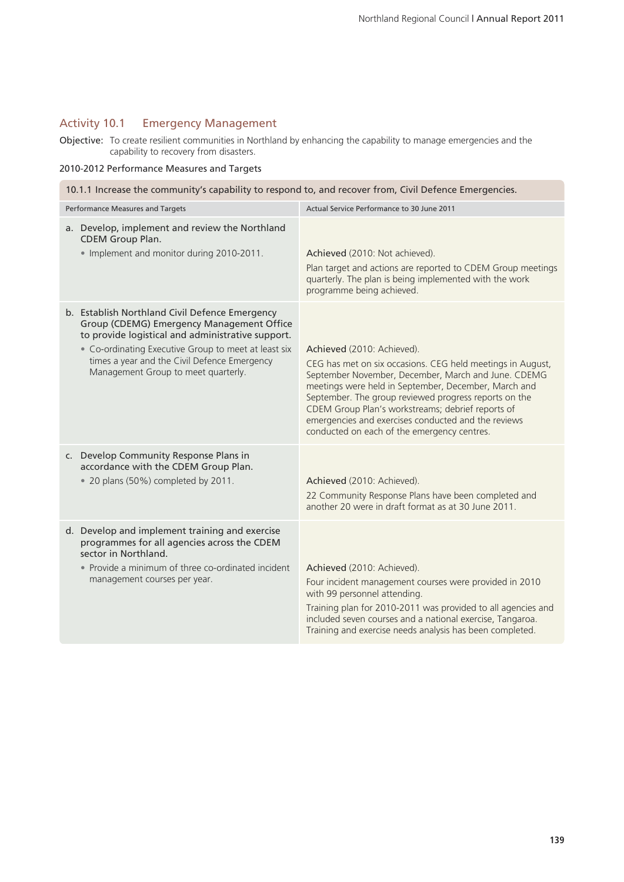## Activity 10.1 Emergency Management

Objective: To create resilient communities in Northland by enhancing the capability to manage emergencies and the capability to recovery from disasters.

#### 2010-2012 Performance Measures and Targets

| 10.1.1 Increase the community's capability to respond to, and recover from, Civil Defence Emergencies.                                                                                                                                                                                          |                                                                                                                                                                                                                                                                                                                                                                                                                             |  |  |  |  |
|-------------------------------------------------------------------------------------------------------------------------------------------------------------------------------------------------------------------------------------------------------------------------------------------------|-----------------------------------------------------------------------------------------------------------------------------------------------------------------------------------------------------------------------------------------------------------------------------------------------------------------------------------------------------------------------------------------------------------------------------|--|--|--|--|
| Performance Measures and Targets                                                                                                                                                                                                                                                                | Actual Service Performance to 30 June 2011                                                                                                                                                                                                                                                                                                                                                                                  |  |  |  |  |
| a. Develop, implement and review the Northland<br>CDEM Group Plan.<br>. Implement and monitor during 2010-2011.                                                                                                                                                                                 | Achieved (2010: Not achieved).<br>Plan target and actions are reported to CDEM Group meetings<br>quarterly. The plan is being implemented with the work<br>programme being achieved.                                                                                                                                                                                                                                        |  |  |  |  |
| b. Establish Northland Civil Defence Emergency<br>Group (CDEMG) Emergency Management Office<br>to provide logistical and administrative support.<br>• Co-ordinating Executive Group to meet at least six<br>times a year and the Civil Defence Emergency<br>Management Group to meet quarterly. | Achieved (2010: Achieved).<br>CEG has met on six occasions. CEG held meetings in August,<br>September November, December, March and June. CDEMG<br>meetings were held in September, December, March and<br>September. The group reviewed progress reports on the<br>CDEM Group Plan's workstreams; debrief reports of<br>emergencies and exercises conducted and the reviews<br>conducted on each of the emergency centres. |  |  |  |  |
| c. Develop Community Response Plans in<br>accordance with the CDEM Group Plan.<br>• 20 plans (50%) completed by 2011.                                                                                                                                                                           | Achieved (2010: Achieved).<br>22 Community Response Plans have been completed and<br>another 20 were in draft format as at 30 June 2011.                                                                                                                                                                                                                                                                                    |  |  |  |  |
| d. Develop and implement training and exercise<br>programmes for all agencies across the CDEM<br>sector in Northland.<br>• Provide a minimum of three co-ordinated incident<br>management courses per year.                                                                                     | Achieved (2010: Achieved).<br>Four incident management courses were provided in 2010<br>with 99 personnel attending.<br>Training plan for 2010-2011 was provided to all agencies and<br>included seven courses and a national exercise, Tangaroa.<br>Training and exercise needs analysis has been completed.                                                                                                               |  |  |  |  |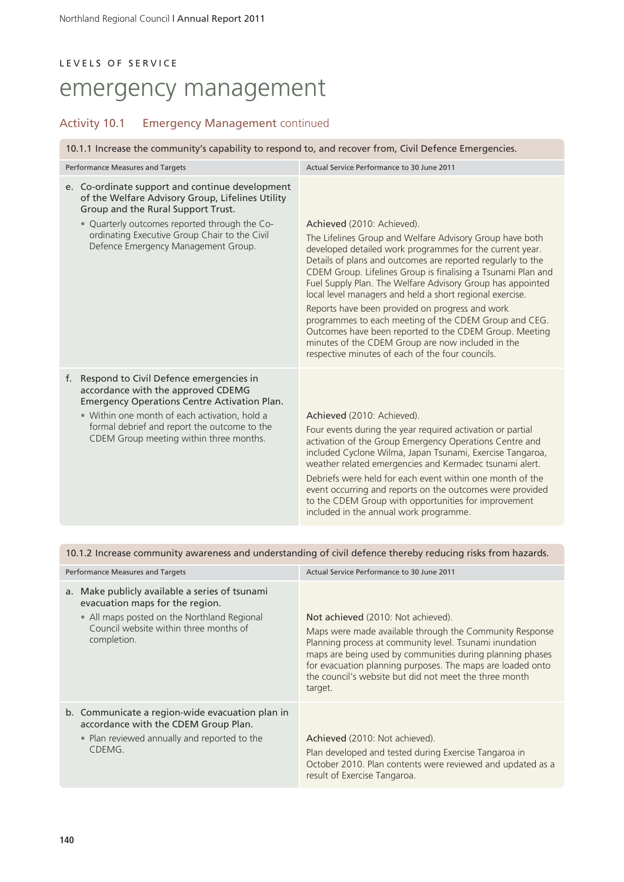## LEVELS OF SERVICE emergency management

### Activity 10.1 Emergency Management continued

10.1.1 Increase the community's capability to respond to, and recover from, Civil Defence Emergencies.

| Performance Measures and Targets                                                                                                                                                                                                                                                       | Actual Service Performance to 30 June 2011                                                                                                                                                                                                                                                                                                                                                                                                                                                                                                                                                                                                                                                 |  |
|----------------------------------------------------------------------------------------------------------------------------------------------------------------------------------------------------------------------------------------------------------------------------------------|--------------------------------------------------------------------------------------------------------------------------------------------------------------------------------------------------------------------------------------------------------------------------------------------------------------------------------------------------------------------------------------------------------------------------------------------------------------------------------------------------------------------------------------------------------------------------------------------------------------------------------------------------------------------------------------------|--|
| e. Co-ordinate support and continue development<br>of the Welfare Advisory Group, Lifelines Utility<br>Group and the Rural Support Trust.<br>• Quarterly outcomes reported through the Co-<br>ordinating Executive Group Chair to the Civil<br>Defence Emergency Management Group.     | Achieved (2010: Achieved).<br>The Lifelines Group and Welfare Advisory Group have both<br>developed detailed work programmes for the current year.<br>Details of plans and outcomes are reported regularly to the<br>CDEM Group. Lifelines Group is finalising a Tsunami Plan and<br>Fuel Supply Plan. The Welfare Advisory Group has appointed<br>local level managers and held a short regional exercise.<br>Reports have been provided on progress and work<br>programmes to each meeting of the CDEM Group and CEG.<br>Outcomes have been reported to the CDEM Group. Meeting<br>minutes of the CDEM Group are now included in the<br>respective minutes of each of the four councils. |  |
| Respond to Civil Defence emergencies in<br>f.<br>accordance with the approved CDEMG<br><b>Emergency Operations Centre Activation Plan.</b><br>• Within one month of each activation, hold a<br>formal debrief and report the outcome to the<br>CDEM Group meeting within three months. | Achieved (2010: Achieved).<br>Four events during the year required activation or partial<br>activation of the Group Emergency Operations Centre and<br>included Cyclone Wilma, Japan Tsunami, Exercise Tangaroa,<br>weather related emergencies and Kermadec tsunami alert.<br>Debriefs were held for each event within one month of the<br>event occurring and reports on the outcomes were provided<br>to the CDEM Group with opportunities for improvement<br>included in the annual work programme.                                                                                                                                                                                    |  |

| 10.1.2 Increase community awareness and understanding of civil defence thereby reducing risks from hazards. |  |  |  |
|-------------------------------------------------------------------------------------------------------------|--|--|--|
|                                                                                                             |  |  |  |

| Performance Measures and Targets |                                                                                                                                                                                        | Actual Service Performance to 30 June 2011                                                                                                                                                                                                                                                                                                               |  |
|----------------------------------|----------------------------------------------------------------------------------------------------------------------------------------------------------------------------------------|----------------------------------------------------------------------------------------------------------------------------------------------------------------------------------------------------------------------------------------------------------------------------------------------------------------------------------------------------------|--|
| a.                               | Make publicly available a series of tsunami<br>evacuation maps for the region.<br>• All maps posted on the Northland Regional<br>Council website within three months of<br>completion. | Not achieved (2010: Not achieved).<br>Maps were made available through the Community Response<br>Planning process at community level. Tsunami inundation<br>maps are being used by communities during planning phases<br>for evacuation planning purposes. The maps are loaded onto<br>the council's website but did not meet the three month<br>target. |  |
|                                  | b. Communicate a region-wide evacuation plan in<br>accordance with the CDEM Group Plan.<br>• Plan reviewed annually and reported to the<br>CDEMG.                                      | Achieved (2010: Not achieved).<br>Plan developed and tested during Exercise Tangaroa in<br>October 2010. Plan contents were reviewed and updated as a<br>result of Exercise Tangaroa.                                                                                                                                                                    |  |